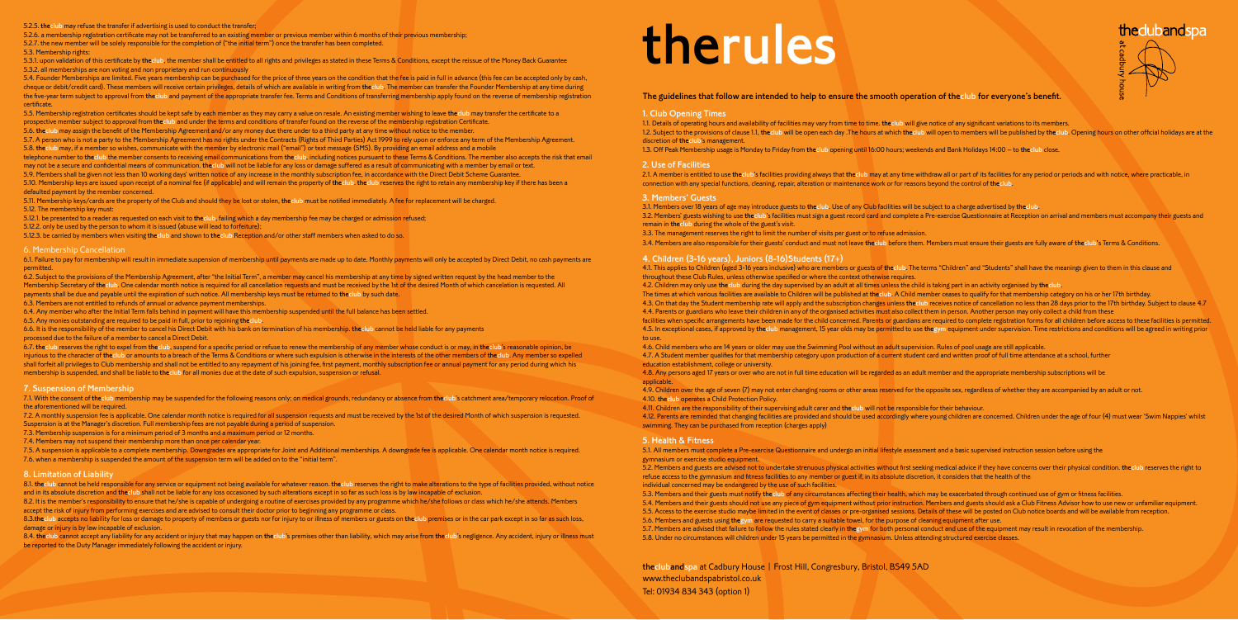The guidelines that follow are intended to help to ensure the smooth operation of theclub for everyone's benefit.

#### 1. Club Opening Times

1.1. Details of operating hours and availability of facilities may vary from time to time. theclub will give notice of any significant variations to its members. 1.2. Subject to the provisions of clause 1.1, theclub will be open each day .The hours at which the club will open to members will be published by the club. Opening hours on other official holidays are at the discretion of theclub's management.

1.3. Off Peak Membership usage is Monday to Friday from the club opening until 16:00 hours; weekends and Bank Holidays 14:00 – to the club close.

2.1. A member is entitled to use theclub's facilities providing always that the club may at any time withdraw all or part of its facilities for any period or periods and with notice, where practicable, in connection with any special functions, cleaning, repair, alteration or maintenance work or for reasons beyond the control of theclub.

#### 2. Use of Facilities

3.1. Members over 18 years of age may introduce guests to the club. Use of any Club facilities will be subject to a charge advertised by the club. 3.2. Members' guests wishing to use the club's facilities must sign a guest record card and complete a Pre-exercise Questionnaire at Reception on arrival and members must accompany their guests and remain in theclub during the whole of the guest's visit.

3.3. The management reserves the right to limit the number of visits per guest or to refuse admission.

3.4. Members are also responsible for their guests' conduct and must not leave theclub before them. Members must ensure their guests are fully aware of theclub's Terms & Conditions.

#### 3. Members' Guests

4.2. Children may only use theclub during the day supervised by an adult at all times unless the child is taking part in an activity organised by the lub. The times at which various facilities are available to Children will be published at the club. A Child member ceases to qualify for that membership category on his or her 17th birthday. 4.3. On that day the Student membership rate will apply and the subscription changes unless the lub receives notice of cancellation no less than 28 days prior to the 17th birthday. Subject to clause 4.7 4.4. Parents or guardians who leave their children in any of the organised activities must also collect them in person. Another person may only collect a child from these facilities when specific arrangements have been made for the child concerned. Parents or guardians are required to complete registration forms for all children before access to these facilities is permitted. 4.5. In exceptional cases, if approved by theclub management, 15 year olds may be permitted to use thegym equipment under supervision. Time restrictions and conditions will be agreed in writing prior to use.

#### 4. Children (3-16 years), Juniors (8-16)Students (17+)

4.1. This applies to Children (aged 3-16 years inclusive) who are members or guests of theclub. The terms "Children" and "Students" shall have the meanings given to them in this clause and throughout these Club Rules, unless otherwise specified or where the context otherwise requires.

5.2. Members and guests are advised not to undertake strenuous physical activities without first seeking medical advice if they have concerns over their physical condition. theclub reserves the right to refuse access to the gymnasium and fitness facilities to any member or guest if, in its absolute discretion, it considers that the health of the individual concerned may be endangered by the use of such facilities.

5.3. Members and their guests must notify the dub of any circumstances affecting their health, which may be exacerbated through continued use of gym or fitness facilities. 5.4. Members and their guests should not use any piece of gym equipment without prior instruction. Members and guests should ask a Club Fitness Advisor how to use new or unfamiliar equipment. 5.5. Access to the exercise studio maybe limited in the event of classes or pre-organised sessions. Details of these will be posted on Club notice boards and will be available from reception. 5.6. Members and guests using thegym are requested to carry a suitable towel, for the purpose of cleaning equipment after use. 5.7. Members are advised that failure to follow the rules stated clearly in the gym for both personal conduct and use of the equipment may result in revocation of the membership. 5.8. Under no circumstances will children under 15 years be permitted in the gymnasium. Unless attending structured exercise classes.

4.6. Child members who are 14 years or older may use the Swimming Pool without an adult supervision. Rules of pool usage are still applicable. 4.7. A Student member qualifies for that membership category upon production of a current student card and written proof of full time attendance at a school, further education establishment, college or university.

4.8. Any persons aged 17 years or over who are not in full time education will be regarded as an adult member and the appropriate membership subscriptions will be applicable.

4.9. Children over the age of seven (7) may not enter changing rooms or other areas reserved for the opposite sex, regardless of whether they are accompanied by an adult or not. 4.10. theclub operates a Child Protection Policy.

4.11. Children are the responsibility of their supervising adult carer and theclub will not be responsible for their behaviour. 4.12. Parents are reminded that changing facilities are provided and should be used accordingly where young children are concerned. Children under the age of four (4) must wear 'Swim Nappies' whilst swimming. They can be purchased from reception (charges apply)

#### 5. Health & Fitness

5.10. Membership keys are issued upon receipt of a nominal fee (if applicable) and will remain the property of theclub. the club reserves the right to retain any membership key if there has been a defaulted payment by the member concerned.

5.11. Membership keys/cards are the property of the Club and should they be lost or stolen, the lub must be notified immediately. A fee for replacement will be charged.

5.1. All members must complete a Pre-exercise Questionnaire and undergo an initial lifestyle assessment and a basic supervised instruction session before using the gymnasium or exercise studio equipment.

7.1. With the consent of theclub membership may be suspended for the following reasons only; on medical grounds, redundancy or absence from the club's catchment area/temporary relocation. Proof of the aforementioned will be required.

7.2. A monthly suspension fee is applicable. One calendar month notice is required for all suspension requests and must be received by the 1st of the desired Month of which suspension is requested. Suspension is at the Manager's discretion. Full membership fees are not payable during a period of suspension.

5.2.5. the club may refuse the transfer if advertising is used to conduct the transfer:

5.2.6. a membership registration certificate may not be transferred to an existing member or previous member within 6 months of their previous membership; 5.2.7. the new member will be solely responsible for the completion of ("the initial term") once the transfer has been completed.

5.3. Membership rights:

5.3.1. upon validation of this certificate by theclub, the member shall be entitled to all rights and privileges as stated in these Terms & Conditions, except the reissue of the Money Back Guarantee 5.3.2. all memberships are non voting and non proprietary and run continuously

8.2. It is the member's responsibility to ensure that he/she is capable of undergoing a routine of exercises provided by any programme which he/she follows or class which he/she attends. Members accept the risk of injury from performing exercises and are advised to consult their doctor prior to beginning any programme or class.

8.3. the dub accepts no liability for loss or damage to property of members or guests nor for injury to or illness of members or guests on the dub premises or in the car park except in so far as such loss, damage or injury is by law incapable of exclusion.

8.4. the club cannot accept any liability for any accident or injury that may happen on the club's premises other than liability, which may arise from theclub's negligence. Any accident, injury or illness must be reported to the Duty Manager immediately following the accident or injury.

5.4. Founder Memberships are limited. Five years membership can be purchased for the price of three years on the condition that the fee is paid in full in advance (this fee can be accepted only by cash, cheque or debit/credit card). These members will receive certain privileges, details of which are available in writing from the lub. The member can transfer the Founder Membership at any time during the five-year term subject to approval from theclub and payment of the appropriate transfer fee. Terms and Conditions of transferring membership apply found on the reverse of membership registration certificate.

5.5. Membership registration certificates should be kept safe by each member as they may carry a value on resale. An existing member wishing to leave the club may transfer the certificate to a prospective member subject to approval from the lub and under the terms and conditions of transfer found on the reverse of the membership registration Certificate.

5.6. theclub may assign the benefit of the Membership Agreement and/or any money due there under to a third party at any time without notice to the member.

5.7. A person who is not a party to the Membership Agreement has no rights under the Contracts (Rights of Third Parties) Act 1999 to rely upon or enforce any term of the Membership Agreement. 5.8. theclub may, if a member so wishes, communicate with the member by electronic mail ("email") or text message (SMS). By providing an email address and a mobile

telephone number to the lub the member consents to receiving email communications from the lub, including notices pursuant to these Terms & Conditions. The member also accepts the risk that email may not be a secure and confidential means of communication. the dub will not be liable for any loss or damage suffered as a result of communicating with a member by email or text.

5.9. Members shall be given not less than 10 working days' written notice of any increase in the monthly subscription fee, in accordance with the Direct Debit Scheme Guarantee.

5.12. The membership key must:

5.12.1. be presented to a reader as requested on each visit to the club, failing which a day membership fee may be charged or admission refused;

5.12.2. only be used by the person to whom it is issued (abuse will lead to forfeiture);

5.12.3. be carried by members when visiting theclub and shown to theclub Reception and/or other staff members when asked to do so.

#### 6. Membership Cancellation

6.1. Failure to pay for membership will result in immediate suspension of membership until payments are made up to date. Monthly payments will only be accepted by Direct Debit, no cash payments are permitted.

6.2. Subject to the provisions of the Membership Agreement, after "the Initial Term", a member may cancel his membership at any time by signed written request by the head member to the Membership Secretary of theclub. One calendar month notice is required for all cancellation requests and must be received by the 1st of the desired Month of which cancelation is requested. All payments shall be due and payable until the expiration of such notice. All membership keys must be returned to theclub by such date.

6.3. Members are not entitled to refunds of annual or advance payment memberships.

6.4. Any member who after the Initial Term falls behind in payment will have this membership suspended until the full balance has been settled.

6.5. Any monies outstanding are required to be paid in full, prior to rejoining theclub.

6.6. It is the responsibility of the member to cancel his Direct Debit with his bank on termination of his membership. theclub cannot be held liable for any payments

processed due to the failure of a member to cancel a Direct Debit.

6.7. theclub reserves the right to expel from theclub, suspend for a specific period or refuse to renew the membership of any member whose conduct is or may, in theclub's reasonable opinion, be injurious to the character of the club or amounts to a breach of the Terms & Conditions or where such expulsion is otherwise in the interests of the other members of the club. Any member so expelled shall forfeit all privileges to Club membership and shall not be entitled to any repayment of his joining fee, first payment, monthly subscription fee or annual payment for any period during which his membership is suspended, and shall be liable to theclub for all monies due at the date of such expulsion, suspension or refusal.

#### 7. Suspension of Membership

7.3. Membership suspension is for a minimum period of 3 months and a maximum period or 12 months.

7.4. Members may not suspend their membership more than once per calendar year.

7.5. A suspension is applicable to a complete membership. Downgrades are appropriate for Joint and Additional memberships. A downgrade fee is applicable. One calendar month notice is required. 7.6. when a membership is suspended the amount of the suspension term will be added on to the "initial term".

#### 8. Limitation of Liability

8.1. the lub cannot be held responsible for any service or equipment not being available for whatever reason. the club reserves the right to make alterations to the type of facilities provided, without notice and in its absolute discretion and theclub shall not be liable for any loss occasioned by such alterations except in so far as such loss is by law incapable of exclusion.

# therules

theclubandspa at Cadbury House | Frost Hill, Congresbury, Bristol, BS49 5AD www.theclubandspabristol.co.uk Tel: 01934 834 343 (option 1)